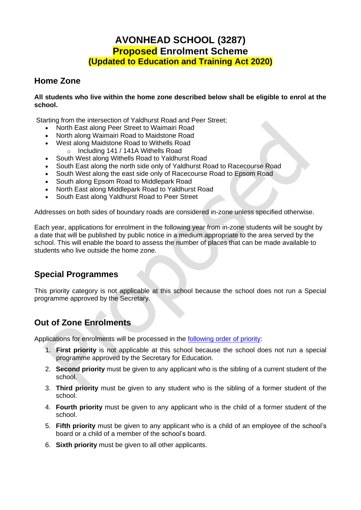# **AVONHEAD SCHOOL (3287) Proposed Enrolment Scheme (Updated to Education and Training Act 2020)**

### **Home Zone**

#### **All students who live within the home zone described below shall be eligible to enrol at the school.**

Starting from the intersection of Yaldhurst Road and Peer Street;

- North East along Peer Street to Waimairi Road
- North along Waimairi Road to Maidstone Road
- West along Maidstone Road to Withells Road
	- o Including 141 / 141A Withells Road
- South West along Withells Road to Yaldhurst Road
- South East along the north side only of Yaldhurst Road to Racecourse Road
- South West along the east side only of Racecourse Road to Epsom Road
- South along Epsom Road to Middlepark Road
- North East along Middlepark Road to Yaldhurst Road
- South East along Yaldhurst Road to Peer Street

Addresses on both sides of boundary roads are considered in-zone unless specified otherwise.

Each year, applications for enrolment in the following year from in-zone students will be sought by a date that will be published by public notice in a medium appropriate to the area served by the school. This will enable the board to assess the number of places that can be made available to students who live outside the home zone.

## **Special Programmes**

This priority category is not applicable at this school because the school does not run a Special programme approved by the Secretary.

## **Out of Zone Enrolments**

Applications for enrolments will be processed in the [following order of priority:](https://www.legislation.govt.nz/act/public/2020/0038/latest/LMS177646.html)

- 1. **First priority** is not applicable at this school because the school does not run a special programme approved by the Secretary for Education.
- 2. **Second priority** must be given to any applicant who is the sibling of a current student of the school.
- 3. **Third priority** must be given to any student who is the sibling of a former student of the school.
- 4. **Fourth priority** must be given to any applicant who is the child of a former student of the school.
- 5. **Fifth priority** must be given to any applicant who is a child of an employee of the school's board or a child of a member of the school's board.
- 6. **Sixth priority** must be given to all other applicants.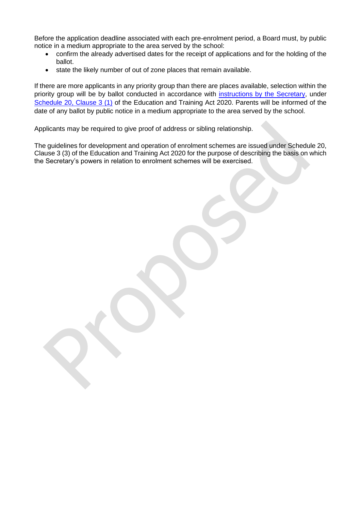Before the application deadline associated with each pre-enrolment period, a Board must, by public notice in a medium appropriate to the area served by the school:

- confirm the already advertised dates for the receipt of applications and for the holding of the ballot.
- state the likely number of out of zone places that remain available.

If there are more applicants in any priority group than there are places available, selection within the priority group will be by ballot conducted in accordance with [instructions by the](https://www.education.govt.nz/assets/Enrolment/Secretarys-Instructions-December-2020.pdf) Secretary, under [Schedule 20, Clause 3 \(1\)](https://www.legislation.govt.nz/act/public/2020/0038/latest/LMS177647.html) of the Education and Training Act 2020. Parents will be informed of the date of any ballot by public notice in a medium appropriate to the area served by the school.

Applicants may be required to give proof of address or sibling relationship.

The guidelines for development and operation of enrolment schemes are issued under Schedule 20, Clause 3 (3) of the Education and Training Act 2020 for the purpose of describing the basis on which the Secretary's powers in relation to enrolment schemes will be exercised.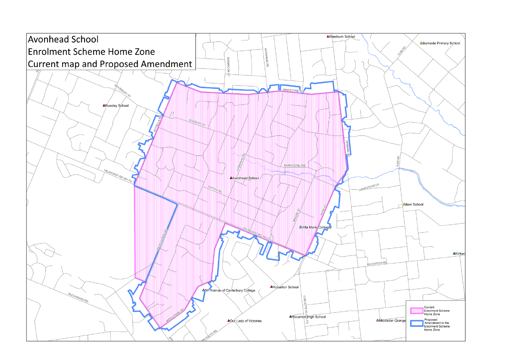